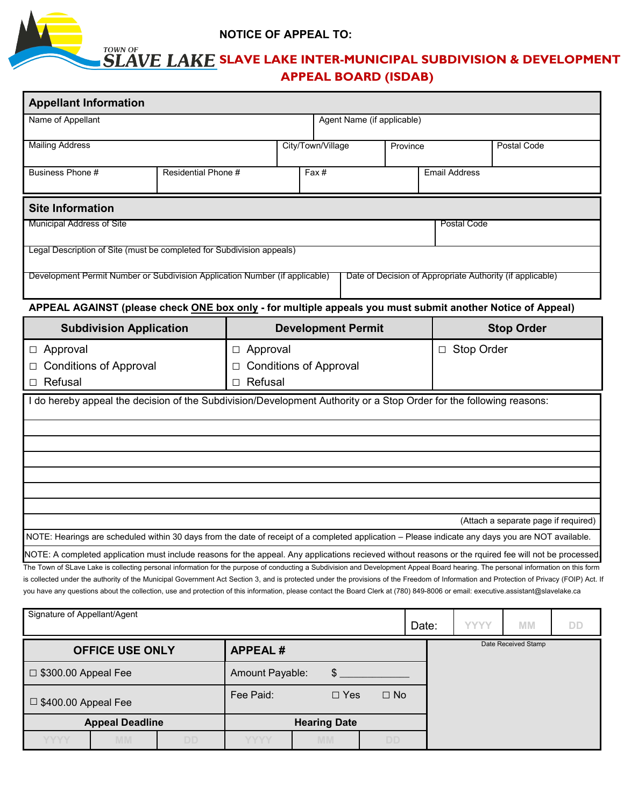

# **NOTICE OF APPEAL TO:**

# **SLAVE LAKE SLAVE LAKE INTER-MUNICIPAL SUBDIVISION & DEVELOPMENT APPEAL BOARD (ISDAB)**

| <b>Appellant Information</b>                                                                                                                                                                                                                                                                                                                                                                                                                                                                                                                                                                                                                                                                                                                               |                                                                     |                   |           |                            |  |             |                      |                     |           |  |
|------------------------------------------------------------------------------------------------------------------------------------------------------------------------------------------------------------------------------------------------------------------------------------------------------------------------------------------------------------------------------------------------------------------------------------------------------------------------------------------------------------------------------------------------------------------------------------------------------------------------------------------------------------------------------------------------------------------------------------------------------------|---------------------------------------------------------------------|-------------------|-----------|----------------------------|--|-------------|----------------------|---------------------|-----------|--|
| Name of Appellant                                                                                                                                                                                                                                                                                                                                                                                                                                                                                                                                                                                                                                                                                                                                          |                                                                     |                   |           | Agent Name (if applicable) |  |             |                      |                     |           |  |
| <b>Mailing Address</b>                                                                                                                                                                                                                                                                                                                                                                                                                                                                                                                                                                                                                                                                                                                                     |                                                                     | City/Town/Village |           | Province                   |  |             | <b>Postal Code</b>   |                     |           |  |
| Business Phone #<br>Residential Phone #                                                                                                                                                                                                                                                                                                                                                                                                                                                                                                                                                                                                                                                                                                                    |                                                                     |                   | Fax#      |                            |  |             | <b>Email Address</b> |                     |           |  |
| <b>Site Information</b>                                                                                                                                                                                                                                                                                                                                                                                                                                                                                                                                                                                                                                                                                                                                    |                                                                     |                   |           |                            |  |             |                      |                     |           |  |
| Municipal Address of Site                                                                                                                                                                                                                                                                                                                                                                                                                                                                                                                                                                                                                                                                                                                                  |                                                                     |                   |           |                            |  | Postal Code |                      |                     |           |  |
| Legal Description of Site (must be completed for Subdivision appeals)                                                                                                                                                                                                                                                                                                                                                                                                                                                                                                                                                                                                                                                                                      |                                                                     |                   |           |                            |  |             |                      |                     |           |  |
| Development Permit Number or Subdivision Application Number (if applicable)<br>Date of Decision of Appropriate Authority (if applicable)                                                                                                                                                                                                                                                                                                                                                                                                                                                                                                                                                                                                                   |                                                                     |                   |           |                            |  |             |                      |                     |           |  |
| APPEAL AGAINST (please check ONE box only - for multiple appeals you must submit another Notice of Appeal)                                                                                                                                                                                                                                                                                                                                                                                                                                                                                                                                                                                                                                                 |                                                                     |                   |           |                            |  |             |                      |                     |           |  |
| <b>Subdivision Application</b>                                                                                                                                                                                                                                                                                                                                                                                                                                                                                                                                                                                                                                                                                                                             |                                                                     |                   |           | <b>Development Permit</b>  |  |             | <b>Stop Order</b>    |                     |           |  |
| Approval<br>$\Box$<br><b>Conditions of Approval</b><br>Refusal<br>□                                                                                                                                                                                                                                                                                                                                                                                                                                                                                                                                                                                                                                                                                        | Approval<br>$\Box$<br><b>Conditions of Approval</b><br>Refusal<br>П |                   |           |                            |  |             | □ Stop Order         |                     |           |  |
| I do hereby appeal the decision of the Subdivision/Development Authority or a Stop Order for the following reasons:                                                                                                                                                                                                                                                                                                                                                                                                                                                                                                                                                                                                                                        |                                                                     |                   |           |                            |  |             |                      |                     |           |  |
|                                                                                                                                                                                                                                                                                                                                                                                                                                                                                                                                                                                                                                                                                                                                                            |                                                                     |                   |           |                            |  |             |                      |                     |           |  |
| (Attach a separate page if required)<br>NOTE: Hearings are scheduled within 30 days from the date of receipt of a completed application - Please indicate any days you are NOT available.                                                                                                                                                                                                                                                                                                                                                                                                                                                                                                                                                                  |                                                                     |                   |           |                            |  |             |                      |                     |           |  |
| NOTE: A completed application must include reasons for the appeal. Any applications recieved without reasons or the rquired fee will not be processed<br>The Town of SLave Lake is collecting personal information for the purpose of conducting a Subdivision and Development Appeal Board hearing. The personal information on this form<br>is collected under the authority of the Municipal Government Act Section 3, and is protected under the provisions of the Freedom of Information and Protection of Privacy (FOIP) Act. If<br>you have any questions about the collection, use and protection of this information, please contact the Board Clerk at (780) 849-8006 or email: executive.assistant@slavelake.ca<br>Signature of Appellant/Agent |                                                                     |                   |           |                            |  |             |                      |                     |           |  |
|                                                                                                                                                                                                                                                                                                                                                                                                                                                                                                                                                                                                                                                                                                                                                            |                                                                     |                   |           |                            |  | Date:       | <b>YYYY</b>          | <b>MM</b>           | <b>DD</b> |  |
| <b>OFFICE USE ONLY</b><br><b>APPEAL#</b>                                                                                                                                                                                                                                                                                                                                                                                                                                                                                                                                                                                                                                                                                                                   |                                                                     |                   |           |                            |  |             |                      | Date Received Stamp |           |  |
| $\Box$ \$300.00 Appeal Fee                                                                                                                                                                                                                                                                                                                                                                                                                                                                                                                                                                                                                                                                                                                                 | Amount Payable:<br>$\$\$                                            |                   |           |                            |  |             |                      |                     |           |  |
| $\Box$ \$400.00 Appeal Fee                                                                                                                                                                                                                                                                                                                                                                                                                                                                                                                                                                                                                                                                                                                                 | $\square$ Yes<br>$\square$ No<br>Fee Paid:                          |                   |           |                            |  |             |                      |                     |           |  |
| <b>Appeal Deadline</b>                                                                                                                                                                                                                                                                                                                                                                                                                                                                                                                                                                                                                                                                                                                                     |                                                                     |                   |           | <b>Hearing Date</b>        |  |             |                      |                     |           |  |
| <b>YYYY</b><br>DD<br><b>MM</b>                                                                                                                                                                                                                                                                                                                                                                                                                                                                                                                                                                                                                                                                                                                             | YYYY                                                                |                   | <b>MM</b> | DD                         |  |             |                      |                     |           |  |